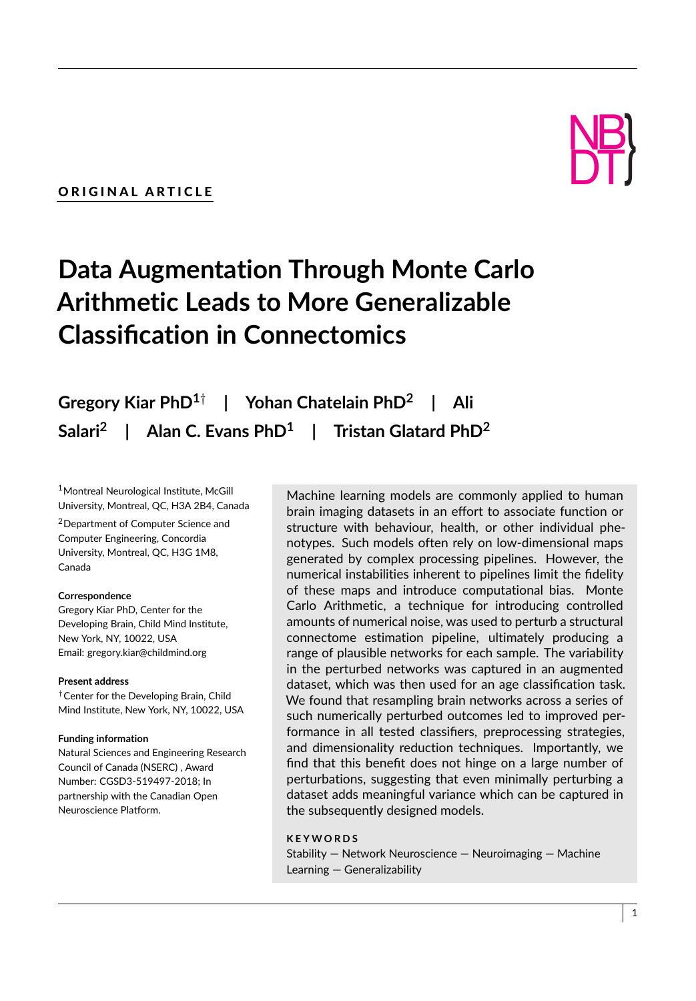# ORIGINAL ARTICLE

# NB DT) }<br>}

# **Data Augmentation Through Monte Carlo Arithmetic Leads to More Generalizable Classification in Connectomics**

**Gregory Kiar PhD1**† **| Yohan Chatelain PhD<sup>2</sup> | Ali Salari<sup>2</sup> | Alan C. Evans PhD<sup>1</sup> | Tristan Glatard PhD<sup>2</sup>**

<sup>1</sup>Montreal Neurological Institute, McGill University, Montreal, QC, H3A 2B4, Canada

<sup>2</sup>Department of Computer Science and Computer Engineering, Concordia University, Montreal, QC, H3G 1M8, Canada

#### **Correspondence**

Gregory Kiar PhD, Center for the Developing Brain, Child Mind Institute, New York, NY, 10022, USA Email: gregory.kiar@childmind.org

#### **Present address**

†Center for the Developing Brain, Child Mind Institute, New York, NY, 10022, USA

#### **Funding information**

Natural Sciences and Engineering Research Council of Canada (NSERC) , Award Number: CGSD3-519497-2018; In partnership with the Canadian Open Neuroscience Platform.

Machine learning models are commonly applied to human brain imaging datasets in an effort to associate function or structure with behaviour, health, or other individual phenotypes. Such models often rely on low-dimensional maps generated by complex processing pipelines. However, the numerical instabilities inherent to pipelines limit the fidelity of these maps and introduce computational bias. Monte Carlo Arithmetic, a technique for introducing controlled amounts of numerical noise, was used to perturb a structural connectome estimation pipeline, ultimately producing a range of plausible networks for each sample. The variability in the perturbed networks was captured in an augmented dataset, which was then used for an age classification task. We found that resampling brain networks across a series of such numerically perturbed outcomes led to improved performance in all tested classifiers, preprocessing strategies, and dimensionality reduction techniques. Importantly, we find that this benefit does not hinge on a large number of perturbations, suggesting that even minimally perturbing a dataset adds meaningful variance which can be captured in the subsequently designed models.

# **K E Y W O R D S**

Stability — Network Neuroscience — Neuroimaging — Machine Learning — Generalizability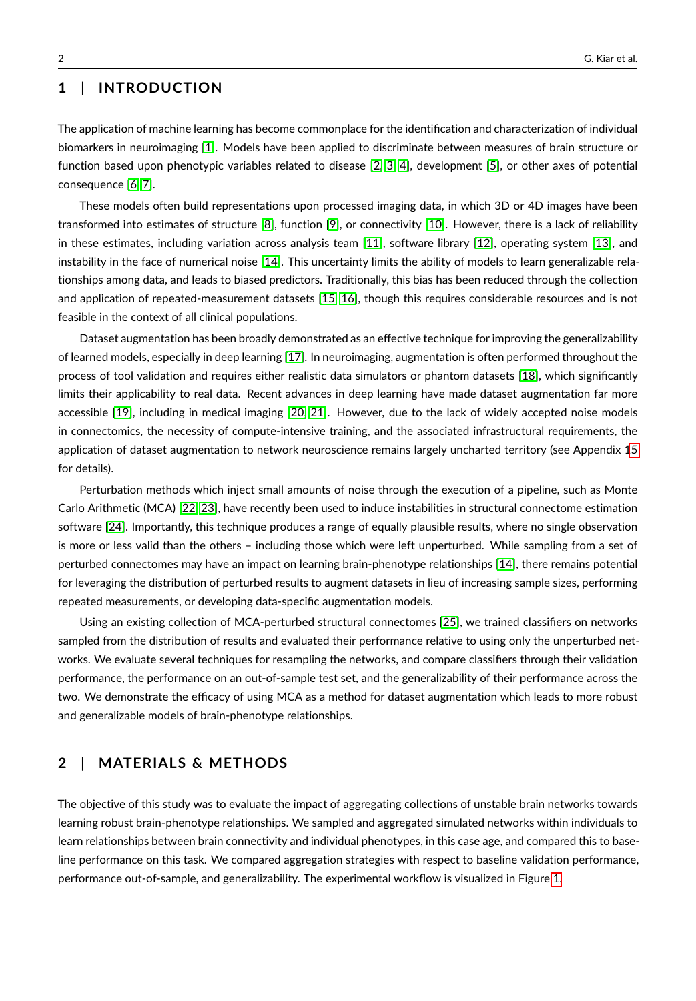# **1** | **INTRODUCTION**

The application of machine learning has become commonplace for the identification and characterization of individual biomarkers in neuroimaging [\[1\]](#page-13-0). Models have been applied to discriminate between measures of brain structure or function based upon phenotypic variables related to disease [\[2,](#page-13-1) [3,](#page-13-2) [4\]](#page-13-3), development [\[5\]](#page-13-4), or other axes of potential consequence [\[6,](#page-13-5) [7\]](#page-13-6).

These models often build representations upon processed imaging data, in which 3D or 4D images have been transformed into estimates of structure [\[8\]](#page-13-7), function [\[9\]](#page-13-8), or connectivity [\[10\]](#page-13-9). However, there is a lack of reliability in these estimates, including variation across analysis team [\[11\]](#page-13-10), software library [\[12\]](#page-13-11), operating system [\[13\]](#page-13-12), and instability in the face of numerical noise [\[14\]](#page-13-13). This uncertainty limits the ability of models to learn generalizable relationships among data, and leads to biased predictors. Traditionally, this bias has been reduced through the collection and application of repeated-measurement datasets [\[15,](#page-13-14) [16\]](#page-13-15), though this requires considerable resources and is not feasible in the context of all clinical populations.

Dataset augmentation has been broadly demonstrated as an effective technique for improving the generalizability of learned models, especially in deep learning [\[17\]](#page-14-0). In neuroimaging, augmentation is often performed throughout the process of tool validation and requires either realistic data simulators or phantom datasets [\[18\]](#page-14-1), which significantly limits their applicability to real data. Recent advances in deep learning have made dataset augmentation far more accessible [\[19\]](#page-14-2), including in medical imaging [\[20,](#page-14-3) [21\]](#page-14-4). However, due to the lack of widely accepted noise models in connectomics, the necessity of compute-intensive training, and the associated infrastructural requirements, the application of dataset augmentation to network neuroscience remains largely uncharted territory (see Appendix [15](#page-12-0) for details).

Perturbation methods which inject small amounts of noise through the execution of a pipeline, such as Monte Carlo Arithmetic (MCA) [\[22,](#page-14-5) [23\]](#page-14-6), have recently been used to induce instabilities in structural connectome estimation software [\[24\]](#page-14-7). Importantly, this technique produces a range of equally plausible results, where no single observation is more or less valid than the others – including those which were left unperturbed. While sampling from a set of perturbed connectomes may have an impact on learning brain-phenotype relationships [\[14\]](#page-13-13), there remains potential for leveraging the distribution of perturbed results to augment datasets in lieu of increasing sample sizes, performing repeated measurements, or developing data-specific augmentation models.

Using an existing collection of MCA-perturbed structural connectomes [\[25\]](#page-14-8), we trained classifiers on networks sampled from the distribution of results and evaluated their performance relative to using only the unperturbed networks. We evaluate several techniques for resampling the networks, and compare classifiers through their validation performance, the performance on an out-of-sample test set, and the generalizability of their performance across the two. We demonstrate the efficacy of using MCA as a method for dataset augmentation which leads to more robust and generalizable models of brain-phenotype relationships.

# **2** | **MATERIALS & METHODS**

The objective of this study was to evaluate the impact of aggregating collections of unstable brain networks towards learning robust brain-phenotype relationships. We sampled and aggregated simulated networks within individuals to learn relationships between brain connectivity and individual phenotypes, in this case age, and compared this to baseline performance on this task. We compared aggregation strategies with respect to baseline validation performance, performance out-of-sample, and generalizability. The experimental workflow is visualized in Figure [1.](#page-2-0)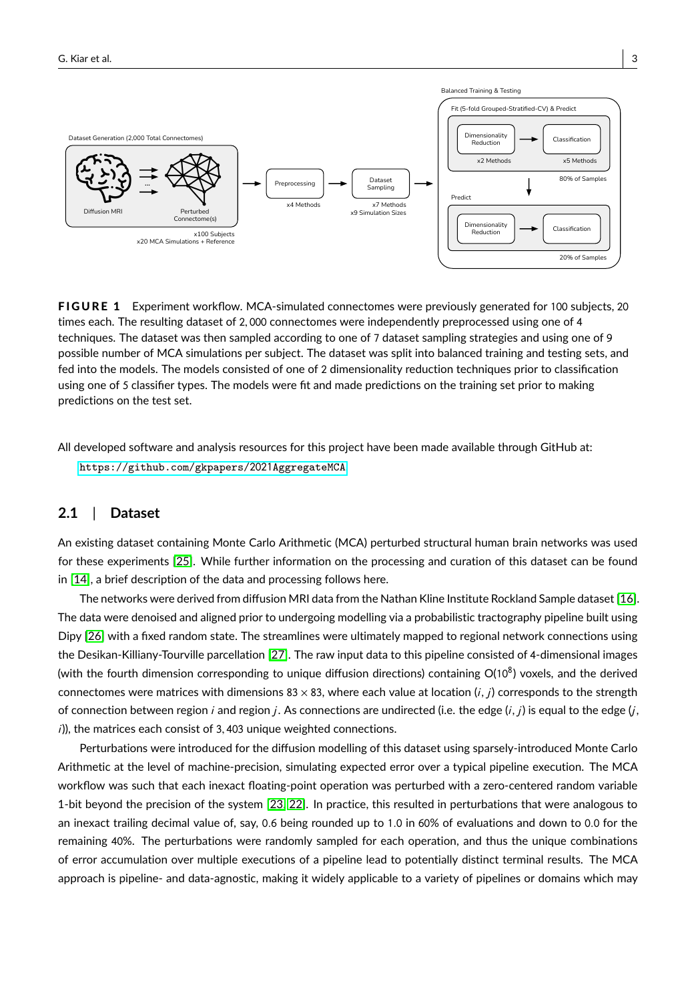<span id="page-2-0"></span>

FIGURE 1 Experiment workflow. MCA-simulated connectomes were previously generated for 100 subjects, 20 times each. The resulting dataset of <sup>2</sup>, <sup>000</sup> connectomes were independently preprocessed using one of <sup>4</sup> techniques. The dataset was then sampled according to one of 7 dataset sampling strategies and using one of 9 possible number of MCA simulations per subject. The dataset was split into balanced training and testing sets, and fed into the models. The models consisted of one of 2 dimensionality reduction techniques prior to classification using one of 5 classifier types. The models were fit and made predictions on the training set prior to making predictions on the test set.

All developed software and analysis resources for this project have been made available through GitHub at: [https://github.com/gkpapers/](https://github.com/gkpapers/2021AggregateMCA)2021AggregateMCA.

# **2.1** | **Dataset**

An existing dataset containing Monte Carlo Arithmetic (MCA) perturbed structural human brain networks was used for these experiments [\[25\]](#page-14-8). While further information on the processing and curation of this dataset can be found in [\[14\]](#page-13-13), a brief description of the data and processing follows here.

The networks were derived from diffusion MRI data from the Nathan Kline Institute Rockland Sample dataset [\[16\]](#page-13-15). The data were denoised and aligned prior to undergoing modelling via a probabilistic tractography pipeline built using Dipy [\[26\]](#page-14-9) with a fixed random state. The streamlines were ultimately mapped to regional network connections using the Desikan-Killiany-Tourville parcellation [\[27\]](#page-14-10). The raw input data to this pipeline consisted of 4-dimensional images (with the fourth dimension corresponding to unique diffusion directions) containing O(108) voxels, and the derived connectomes were matrices with dimensions 83  $\times$  83, where each value at location (i, j) corresponds to the strength of connection between region i and region j. As connections are undirected (i.e. the edge  $(i, j)$  is equal to the edge  $(i, j)$  $i$ )), the matrices each consist of 3,403 unique weighted connections.

Perturbations were introduced for the diffusion modelling of this dataset using sparsely-introduced Monte Carlo Arithmetic at the level of machine-precision, simulating expected error over a typical pipeline execution. The MCA workflow was such that each inexact floating-point operation was perturbed with a zero-centered random variable 1-bit beyond the precision of the system [\[23,](#page-14-6) [22\]](#page-14-5). In practice, this resulted in perturbations that were analogous to an inexact trailing decimal value of, say, <sup>0</sup>.<sup>6</sup> being rounded up to <sup>1</sup>.<sup>0</sup> in <sup>60</sup>% of evaluations and down to <sup>0</sup>.<sup>0</sup> for the remaining 40%. The perturbations were randomly sampled for each operation, and thus the unique combinations of error accumulation over multiple executions of a pipeline lead to potentially distinct terminal results. The MCA approach is pipeline- and data-agnostic, making it widely applicable to a variety of pipelines or domains which may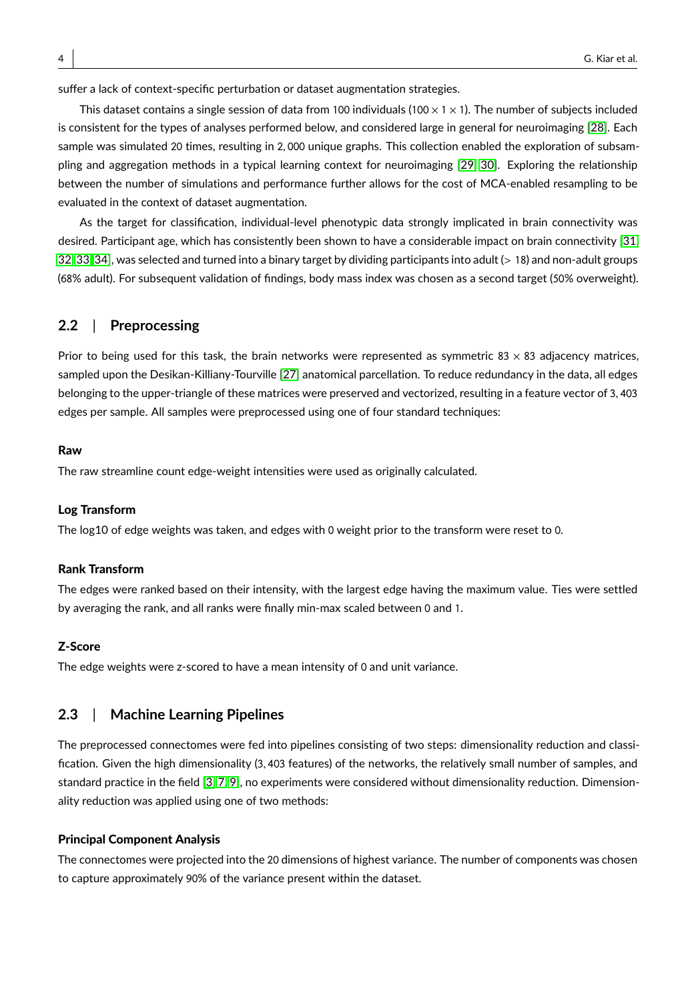suffer a lack of context-specific perturbation or dataset augmentation strategies.

This dataset contains a single session of data from 100 individuals (100  $\times$  1  $\times$  1). The number of subjects included is consistent for the types of analyses performed below, and considered large in general for neuroimaging [\[28\]](#page-14-11). Each sample was simulated <sup>20</sup> times, resulting in <sup>2</sup>, <sup>000</sup> unique graphs. This collection enabled the exploration of subsampling and aggregation methods in a typical learning context for neuroimaging [\[29,](#page-14-12) [30\]](#page-14-13). Exploring the relationship between the number of simulations and performance further allows for the cost of MCA-enabled resampling to be evaluated in the context of dataset augmentation.

As the target for classification, individual-level phenotypic data strongly implicated in brain connectivity was desired. Participant age, which has consistently been shown to have a considerable impact on brain connectivity [\[31,](#page-14-14) [32,](#page-14-15) [33,](#page-14-16) [34\]](#page-14-17), was selected and turned into a binary target by dividing participants into adult (> <sup>18</sup>) and non-adult groups (68% adult). For subsequent validation of findings, body mass index was chosen as a second target (50% overweight).

# **2.2** | **Preprocessing**

Prior to being used for this task, the brain networks were represented as symmetric 83  $\times$  83 adjacency matrices, sampled upon the Desikan-Killiany-Tourville [\[27\]](#page-14-10) anatomical parcellation. To reduce redundancy in the data, all edges belonging to the upper-triangle of these matrices were preserved and vectorized, resulting in a feature vector of <sup>3</sup>, <sup>403</sup> edges per sample. All samples were preprocessed using one of four standard techniques:

#### Raw

The raw streamline count edge-weight intensities were used as originally calculated.

### Log Transform

The log10 of edge weights was taken, and edges with 0 weight prior to the transform were reset to 0.

#### Rank Transform

The edges were ranked based on their intensity, with the largest edge having the maximum value. Ties were settled by averaging the rank, and all ranks were finally min-max scaled between 0 and 1.

#### Z-Score

The edge weights were z-scored to have a mean intensity of 0 and unit variance.

# **2.3** | **Machine Learning Pipelines**

The preprocessed connectomes were fed into pipelines consisting of two steps: dimensionality reduction and classification. Given the high dimensionality (3, <sup>403</sup> features) of the networks, the relatively small number of samples, and standard practice in the field [\[3,](#page-13-2) [7,](#page-13-6) [9\]](#page-13-8), no experiments were considered without dimensionality reduction. Dimensionality reduction was applied using one of two methods:

#### Principal Component Analysis

The connectomes were projected into the 20 dimensions of highest variance. The number of components was chosen to capture approximately 90% of the variance present within the dataset.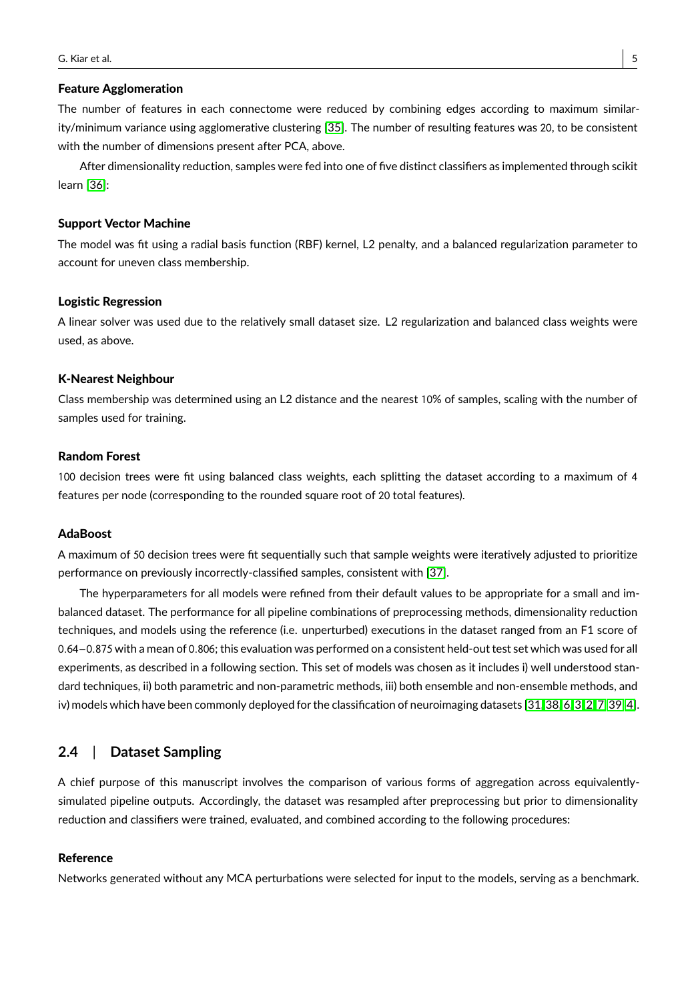#### Feature Agglomeration

The number of features in each connectome were reduced by combining edges according to maximum similarity/minimum variance using agglomerative clustering [\[35\]](#page-14-18). The number of resulting features was 20, to be consistent with the number of dimensions present after PCA, above.

After dimensionality reduction, samples were fed into one of five distinct classifiers as implemented through scikit learn [\[36\]](#page-15-0):

#### Support Vector Machine

The model was fit using a radial basis function (RBF) kernel, L2 penalty, and a balanced regularization parameter to account for uneven class membership.

#### Logistic Regression

A linear solver was used due to the relatively small dataset size. L2 regularization and balanced class weights were used, as above.

#### K-Nearest Neighbour

Class membership was determined using an L2 distance and the nearest 10% of samples, scaling with the number of samples used for training.

#### Random Forest

100 decision trees were fit using balanced class weights, each splitting the dataset according to a maximum of 4 features per node (corresponding to the rounded square root of 20 total features).

#### AdaBoost

A maximum of 50 decision trees were fit sequentially such that sample weights were iteratively adjusted to prioritize performance on previously incorrectly-classified samples, consistent with [\[37\]](#page-15-1).

The hyperparameters for all models were refined from their default values to be appropriate for a small and imbalanced dataset. The performance for all pipeline combinations of preprocessing methods, dimensionality reduction techniques, and models using the reference (i.e. unperturbed) executions in the dataset ranged from an F1 score of <sup>0</sup>.64−0.<sup>875</sup> with a mean of <sup>0</sup>.806; this evaluation was performed on a consistent held-out test set which was used for all experiments, as described in a following section. This set of models was chosen as it includes i) well understood standard techniques, ii) both parametric and non-parametric methods, iii) both ensemble and non-ensemble methods, and iv) models which have been commonly deployed for the classification of neuroimaging datasets [\[31,](#page-14-14) [38,](#page-15-2) [6,](#page-13-5) [3,](#page-13-2) [2,](#page-13-1) [7,](#page-13-6) [39,](#page-15-3) [4\]](#page-13-3).

# **2.4** | **Dataset Sampling**

A chief purpose of this manuscript involves the comparison of various forms of aggregation across equivalentlysimulated pipeline outputs. Accordingly, the dataset was resampled after preprocessing but prior to dimensionality reduction and classifiers were trained, evaluated, and combined according to the following procedures:

#### Reference

Networks generated without any MCA perturbations were selected for input to the models, serving as a benchmark.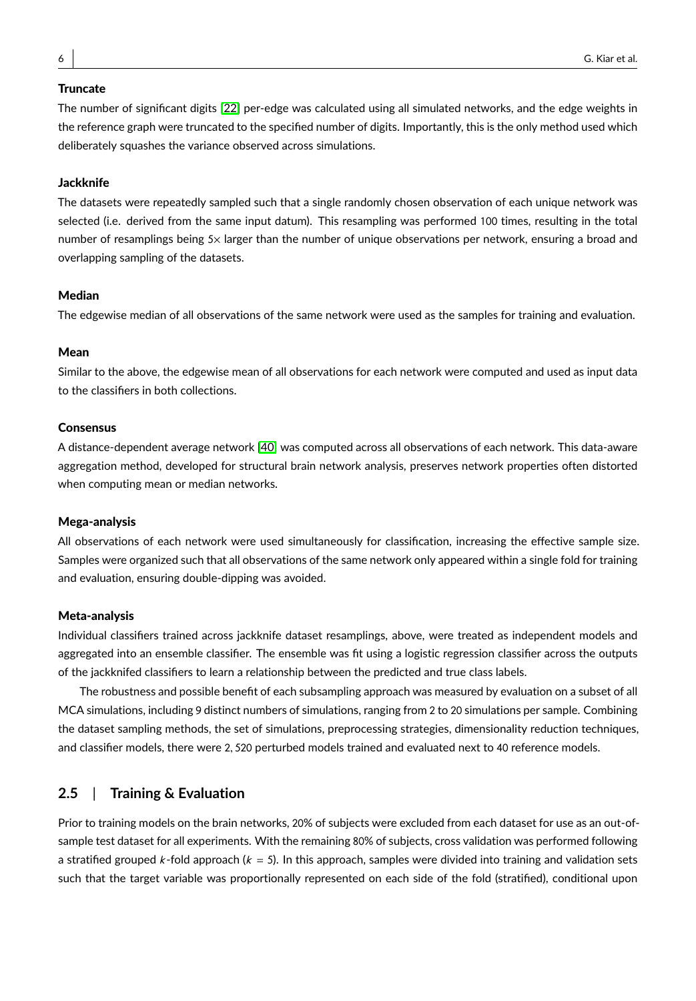#### **Truncate**

The number of significant digits [\[22\]](#page-14-5) per-edge was calculated using all simulated networks, and the edge weights in the reference graph were truncated to the specified number of digits. Importantly, this is the only method used which deliberately squashes the variance observed across simulations.

#### **Jackknife**

The datasets were repeatedly sampled such that a single randomly chosen observation of each unique network was selected (i.e. derived from the same input datum). This resampling was performed 100 times, resulting in the total number of resamplings being 5× larger than the number of unique observations per network, ensuring a broad and overlapping sampling of the datasets.

#### Median

The edgewise median of all observations of the same network were used as the samples for training and evaluation.

#### Mean

Similar to the above, the edgewise mean of all observations for each network were computed and used as input data to the classifiers in both collections.

### Consensus

A distance-dependent average network [\[40\]](#page-15-4) was computed across all observations of each network. This data-aware aggregation method, developed for structural brain network analysis, preserves network properties often distorted when computing mean or median networks.

#### Mega-analysis

All observations of each network were used simultaneously for classification, increasing the effective sample size. Samples were organized such that all observations of the same network only appeared within a single fold for training and evaluation, ensuring double-dipping was avoided.

#### Meta-analysis

Individual classifiers trained across jackknife dataset resamplings, above, were treated as independent models and aggregated into an ensemble classifier. The ensemble was fit using a logistic regression classifier across the outputs of the jackknifed classifiers to learn a relationship between the predicted and true class labels.

The robustness and possible benefit of each subsampling approach was measured by evaluation on a subset of all MCA simulations, including 9 distinct numbers of simulations, ranging from 2 to 20 simulations per sample. Combining the dataset sampling methods, the set of simulations, preprocessing strategies, dimensionality reduction techniques, and classifier models, there were <sup>2</sup>, <sup>520</sup> perturbed models trained and evaluated next to <sup>40</sup> reference models.

# **2.5** | **Training & Evaluation**

Prior to training models on the brain networks, 20% of subjects were excluded from each dataset for use as an out-ofsample test dataset for all experiments. With the remaining 80% of subjects, cross validation was performed following a stratified grouped k-fold approach ( $k = 5$ ). In this approach, samples were divided into training and validation sets such that the target variable was proportionally represented on each side of the fold (stratified), conditional upon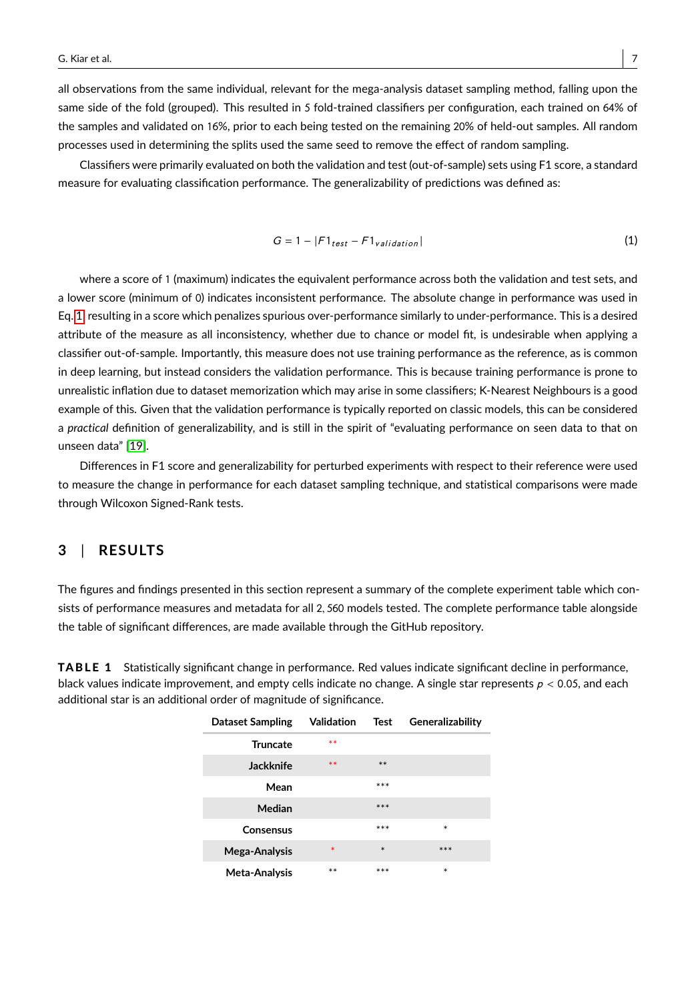all observations from the same individual, relevant for the mega-analysis dataset sampling method, falling upon the same side of the fold (grouped). This resulted in 5 fold-trained classifiers per configuration, each trained on 64% of the samples and validated on 16%, prior to each being tested on the remaining 20% of held-out samples. All random processes used in determining the splits used the same seed to remove the effect of random sampling.

Classifiers were primarily evaluated on both the validation and test (out-of-sample) sets using F1 score, a standard measure for evaluating classification performance. The generalizability of predictions was defined as:

<span id="page-6-0"></span>
$$
G = 1 - |F1_{test} - F1_{validation}|
$$
 (1)

where a score of 1 (maximum) indicates the equivalent performance across both the validation and test sets, and a lower score (minimum of 0) indicates inconsistent performance. The absolute change in performance was used in Eq. [1,](#page-6-0) resulting in a score which penalizes spurious over-performance similarly to under-performance. This is a desired attribute of the measure as all inconsistency, whether due to chance or model fit, is undesirable when applying a classifier out-of-sample. Importantly, this measure does not use training performance as the reference, as is common in deep learning, but instead considers the validation performance. This is because training performance is prone to unrealistic inflation due to dataset memorization which may arise in some classifiers; K-Nearest Neighbours is a good example of this. Given that the validation performance is typically reported on classic models, this can be considered a *practical* definition of generalizability, and is still in the spirit of "evaluating performance on seen data to that on unseen data" [\[19\]](#page-14-2).

Differences in F1 score and generalizability for perturbed experiments with respect to their reference were used to measure the change in performance for each dataset sampling technique, and statistical comparisons were made through Wilcoxon Signed-Rank tests.

# **3** | **RESULTS**

The figures and findings presented in this section represent a summary of the complete experiment table which consists of performance measures and metadata for all <sup>2</sup>, <sup>560</sup> models tested. The complete performance table alongside the table of significant differences, are made available through the GitHub repository.

<span id="page-6-1"></span>**TABLE 1** Statistically significant change in performance. Red values indicate significant decline in performance, black values indicate improvement, and empty cells indicate no change. A single star represents  $p < 0.05$ , and each additional star is an additional order of magnitude of significance.

| Dataset Sampling | Validation | Test   | Generalizability |
|------------------|------------|--------|------------------|
| <b>Truncate</b>  | $**$       |        |                  |
| Jackknife        | **         | $**$   |                  |
| Mean             |            | ***    |                  |
| Median           |            | ***    |                  |
| Consensus        |            | ***    | $\ast$           |
| Mega-Analysis    | $\ast$     | $\ast$ | ***              |
| Meta-Analysis    | $**$       | ***    | $\ast$           |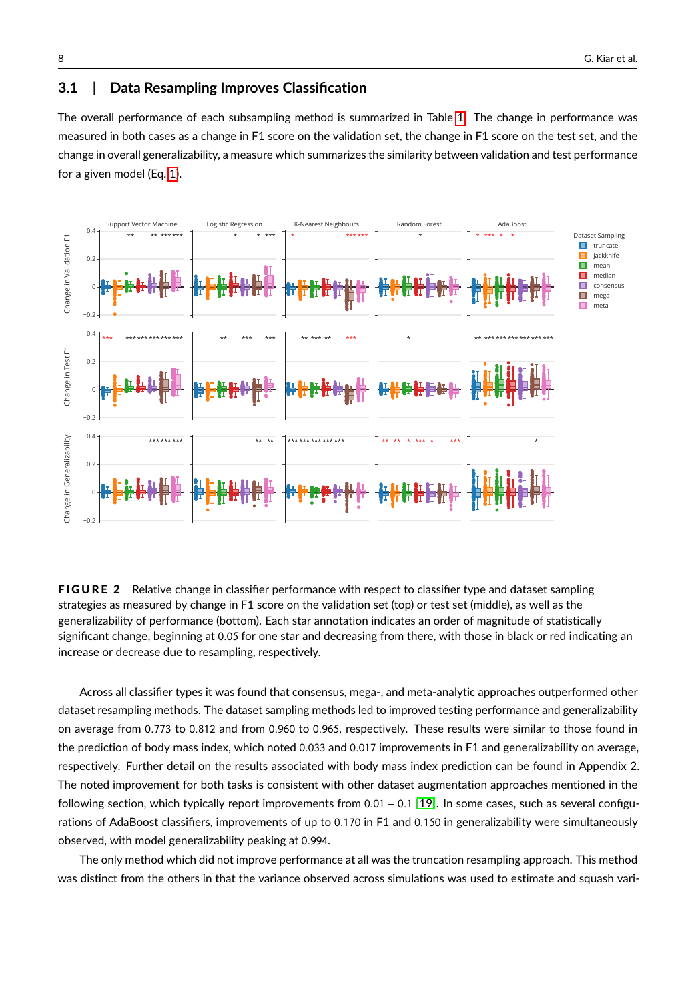# **3.1** | **Data Resampling Improves Classification**

The overall performance of each subsampling method is summarized in Table [1.](#page-6-1) The change in performance was measured in both cases as a change in F1 score on the validation set, the change in F1 score on the test set, and the change in overall generalizability, a measure which summarizes the similarity between validation and test performance for a given model (Eq. [1\)](#page-6-0).

<span id="page-7-0"></span>

FIGURE 2 Relative change in classifier performance with respect to classifier type and dataset sampling strategies as measured by change in F1 score on the validation set (top) or test set (middle), as well as the generalizability of performance (bottom). Each star annotation indicates an order of magnitude of statistically significant change, beginning at <sup>0</sup>.<sup>05</sup> for one star and decreasing from there, with those in black or red indicating an increase or decrease due to resampling, respectively.

Across all classifier types it was found that consensus, mega-, and meta-analytic approaches outperformed other dataset resampling methods. The dataset sampling methods led to improved testing performance and generalizability on average from <sup>0</sup>.<sup>773</sup> to <sup>0</sup>.<sup>812</sup> and from <sup>0</sup>.<sup>960</sup> to <sup>0</sup>.965, respectively. These results were similar to those found in the prediction of body mass index, which noted <sup>0</sup>.<sup>033</sup> and <sup>0</sup>.<sup>017</sup> improvements in F1 and generalizability on average, respectively. Further detail on the results associated with body mass index prediction can be found in Appendix 2. The noted improvement for both tasks is consistent with other dataset augmentation approaches mentioned in the following section, which typically report improvements from <sup>0</sup>.<sup>01</sup> <sup>−</sup> <sup>0</sup>.<sup>1</sup> [\[19\]](#page-14-2). In some cases, such as several configurations of AdaBoost classifiers, improvements of up to <sup>0</sup>.<sup>170</sup> in F1 and <sup>0</sup>.<sup>150</sup> in generalizability were simultaneously observed, with model generalizability peaking at <sup>0</sup>.994.

The only method which did not improve performance at all was the truncation resampling approach. This method was distinct from the others in that the variance observed across simulations was used to estimate and squash vari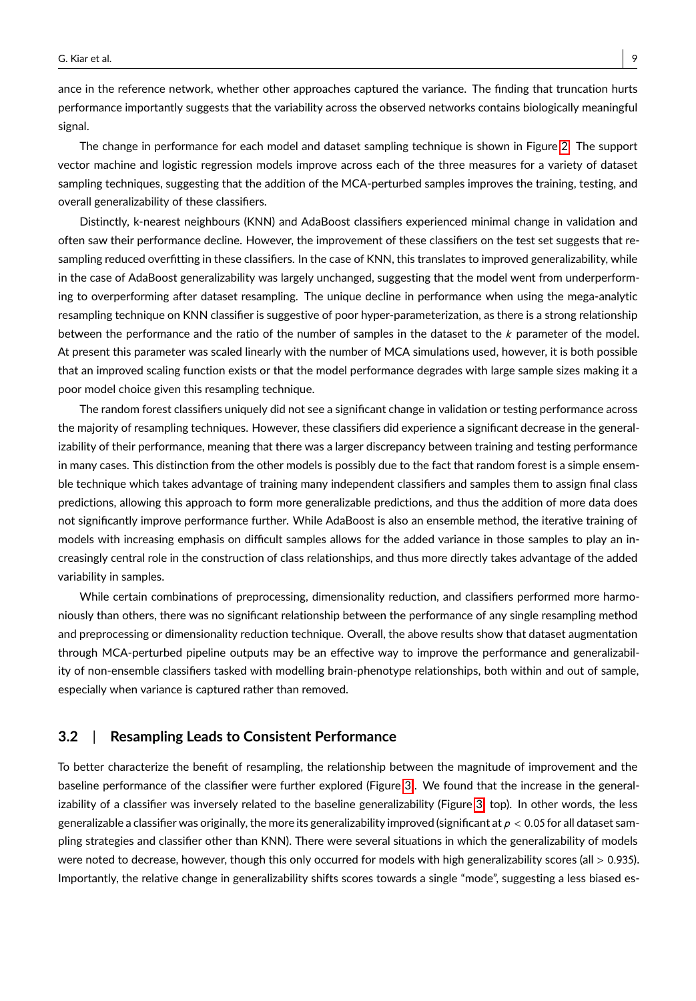ance in the reference network, whether other approaches captured the variance. The finding that truncation hurts performance importantly suggests that the variability across the observed networks contains biologically meaningful signal.

The change in performance for each model and dataset sampling technique is shown in Figure [2.](#page-7-0) The support vector machine and logistic regression models improve across each of the three measures for a variety of dataset sampling techniques, suggesting that the addition of the MCA-perturbed samples improves the training, testing, and overall generalizability of these classifiers.

Distinctly, k-nearest neighbours (KNN) and AdaBoost classifiers experienced minimal change in validation and often saw their performance decline. However, the improvement of these classifiers on the test set suggests that resampling reduced overfitting in these classifiers. In the case of KNN, this translates to improved generalizability, while in the case of AdaBoost generalizability was largely unchanged, suggesting that the model went from underperforming to overperforming after dataset resampling. The unique decline in performance when using the mega-analytic resampling technique on KNN classifier is suggestive of poor hyper-parameterization, as there is a strong relationship between the performance and the ratio of the number of samples in the dataset to the  $k$  parameter of the model. At present this parameter was scaled linearly with the number of MCA simulations used, however, it is both possible that an improved scaling function exists or that the model performance degrades with large sample sizes making it a poor model choice given this resampling technique.

The random forest classifiers uniquely did not see a significant change in validation or testing performance across the majority of resampling techniques. However, these classifiers did experience a significant decrease in the generalizability of their performance, meaning that there was a larger discrepancy between training and testing performance in many cases. This distinction from the other models is possibly due to the fact that random forest is a simple ensemble technique which takes advantage of training many independent classifiers and samples them to assign final class predictions, allowing this approach to form more generalizable predictions, and thus the addition of more data does not significantly improve performance further. While AdaBoost is also an ensemble method, the iterative training of models with increasing emphasis on difficult samples allows for the added variance in those samples to play an increasingly central role in the construction of class relationships, and thus more directly takes advantage of the added variability in samples.

While certain combinations of preprocessing, dimensionality reduction, and classifiers performed more harmoniously than others, there was no significant relationship between the performance of any single resampling method and preprocessing or dimensionality reduction technique. Overall, the above results show that dataset augmentation through MCA-perturbed pipeline outputs may be an effective way to improve the performance and generalizability of non-ensemble classifiers tasked with modelling brain-phenotype relationships, both within and out of sample, especially when variance is captured rather than removed.

# **3.2** | **Resampling Leads to Consistent Performance**

To better characterize the benefit of resampling, the relationship between the magnitude of improvement and the baseline performance of the classifier were further explored (Figure [3\)](#page-9-0). We found that the increase in the generalizability of a classifier was inversely related to the baseline generalizability (Figure [3;](#page-9-0) top). In other words, the less generalizable a classifier was originally, the more its generalizability improved (significant at  $p < 0.05$  for all dataset sampling strategies and classifier other than KNN). There were several situations in which the generalizability of models were noted to decrease, however, though this only occurred for models with high generalizability scores (all > 0.935). Importantly, the relative change in generalizability shifts scores towards a single "mode", suggesting a less biased es-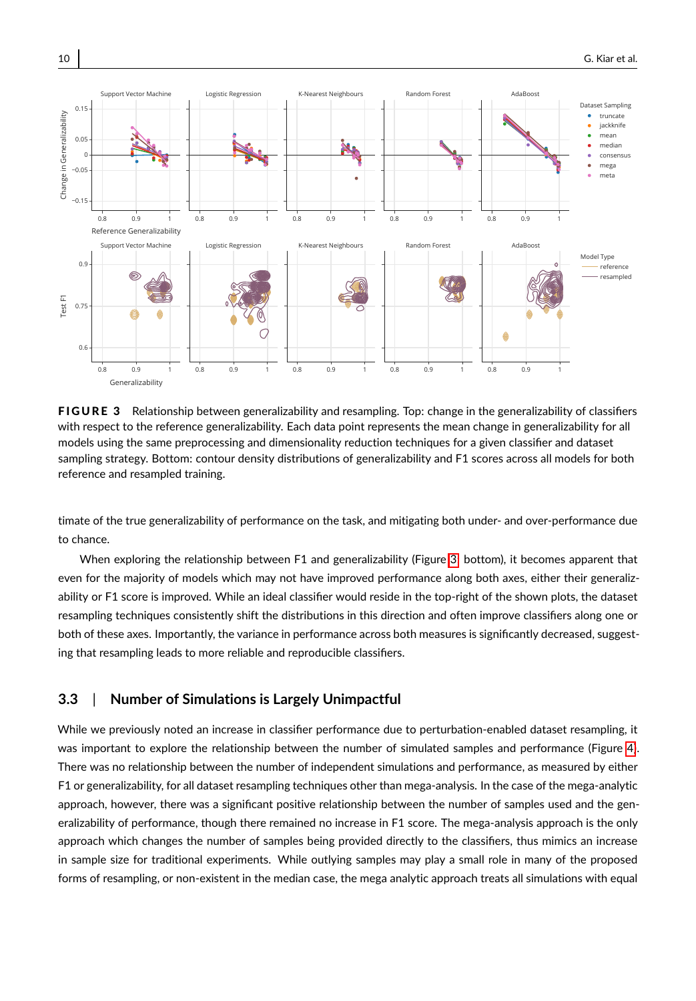<span id="page-9-0"></span>

FIGURE 3 Relationship between generalizability and resampling. Top: change in the generalizability of classifiers with respect to the reference generalizability. Each data point represents the mean change in generalizability for all models using the same preprocessing and dimensionality reduction techniques for a given classifier and dataset sampling strategy. Bottom: contour density distributions of generalizability and F1 scores across all models for both reference and resampled training.

timate of the true generalizability of performance on the task, and mitigating both under- and over-performance due to chance.

When exploring the relationship between F1 and generalizability (Figure [3;](#page-9-0) bottom), it becomes apparent that even for the majority of models which may not have improved performance along both axes, either their generalizability or F1 score is improved. While an ideal classifier would reside in the top-right of the shown plots, the dataset resampling techniques consistently shift the distributions in this direction and often improve classifiers along one or both of these axes. Importantly, the variance in performance across both measures is significantly decreased, suggesting that resampling leads to more reliable and reproducible classifiers.

# **3.3** | **Number of Simulations is Largely Unimpactful**

While we previously noted an increase in classifier performance due to perturbation-enabled dataset resampling, it was important to explore the relationship between the number of simulated samples and performance (Figure [4\)](#page-10-0). There was no relationship between the number of independent simulations and performance, as measured by either F1 or generalizability, for all dataset resampling techniques other than mega-analysis. In the case of the mega-analytic approach, however, there was a significant positive relationship between the number of samples used and the generalizability of performance, though there remained no increase in F1 score. The mega-analysis approach is the only approach which changes the number of samples being provided directly to the classifiers, thus mimics an increase in sample size for traditional experiments. While outlying samples may play a small role in many of the proposed forms of resampling, or non-existent in the median case, the mega analytic approach treats all simulations with equal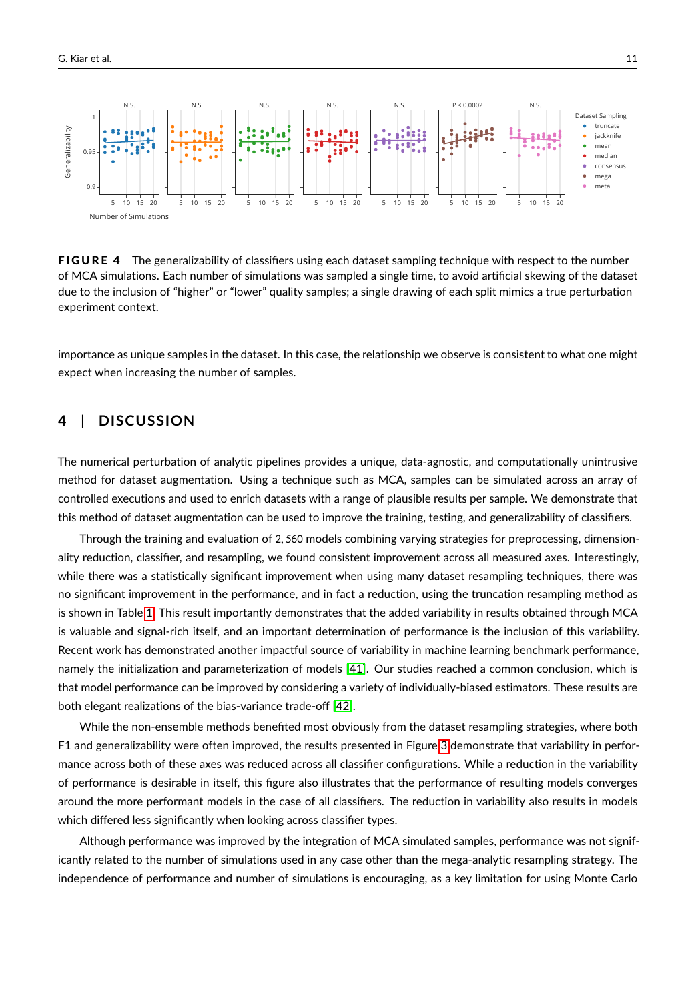<span id="page-10-0"></span>

FIGURE 4 The generalizability of classifiers using each dataset sampling technique with respect to the number of MCA simulations. Each number of simulations was sampled a single time, to avoid artificial skewing of the dataset due to the inclusion of "higher" or "lower" quality samples; a single drawing of each split mimics a true perturbation experiment context.

importance as unique samples in the dataset. In this case, the relationship we observe is consistent to what one might expect when increasing the number of samples.

# **4** | **DISCUSSION**

The numerical perturbation of analytic pipelines provides a unique, data-agnostic, and computationally unintrusive method for dataset augmentation. Using a technique such as MCA, samples can be simulated across an array of controlled executions and used to enrich datasets with a range of plausible results per sample. We demonstrate that this method of dataset augmentation can be used to improve the training, testing, and generalizability of classifiers.

Through the training and evaluation of <sup>2</sup>, <sup>560</sup> models combining varying strategies for preprocessing, dimensionality reduction, classifier, and resampling, we found consistent improvement across all measured axes. Interestingly, while there was a statistically significant improvement when using many dataset resampling techniques, there was no significant improvement in the performance, and in fact a reduction, using the truncation resampling method as is shown in Table [1.](#page-6-1) This result importantly demonstrates that the added variability in results obtained through MCA is valuable and signal-rich itself, and an important determination of performance is the inclusion of this variability. Recent work has demonstrated another impactful source of variability in machine learning benchmark performance, namely the initialization and parameterization of models [\[41\]](#page-15-5). Our studies reached a common conclusion, which is that model performance can be improved by considering a variety of individually-biased estimators. These results are both elegant realizations of the bias-variance trade-off [\[42\]](#page-15-6).

While the non-ensemble methods benefited most obviously from the dataset resampling strategies, where both F1 and generalizability were often improved, the results presented in Figure [3](#page-9-0) demonstrate that variability in performance across both of these axes was reduced across all classifier configurations. While a reduction in the variability of performance is desirable in itself, this figure also illustrates that the performance of resulting models converges around the more performant models in the case of all classifiers. The reduction in variability also results in models which differed less significantly when looking across classifier types.

Although performance was improved by the integration of MCA simulated samples, performance was not significantly related to the number of simulations used in any case other than the mega-analytic resampling strategy. The independence of performance and number of simulations is encouraging, as a key limitation for using Monte Carlo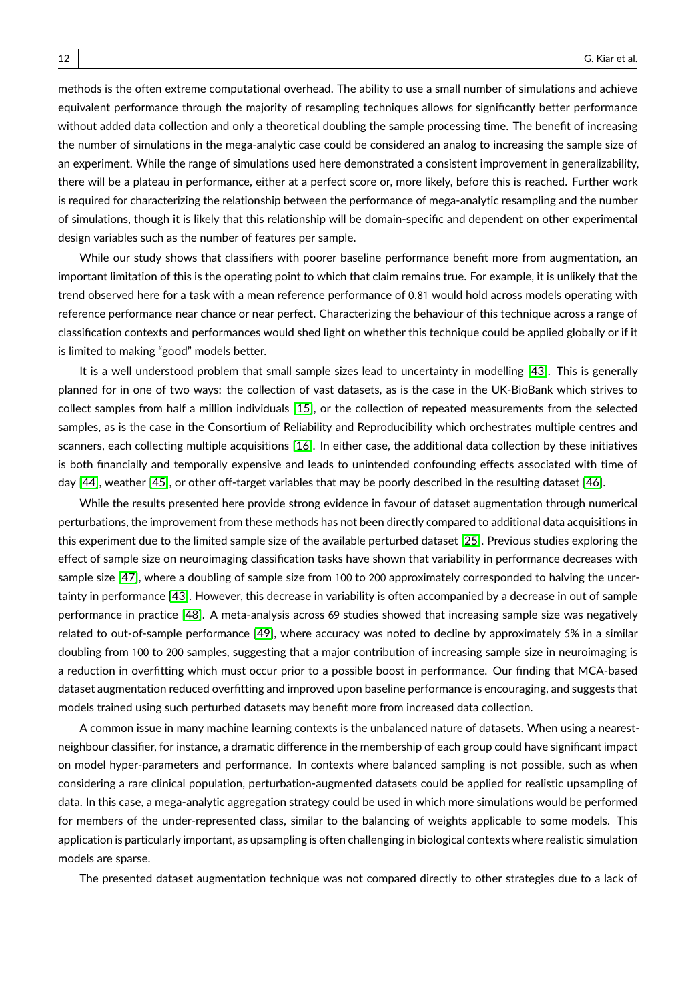methods is the often extreme computational overhead. The ability to use a small number of simulations and achieve equivalent performance through the majority of resampling techniques allows for significantly better performance without added data collection and only a theoretical doubling the sample processing time. The benefit of increasing the number of simulations in the mega-analytic case could be considered an analog to increasing the sample size of an experiment. While the range of simulations used here demonstrated a consistent improvement in generalizability, there will be a plateau in performance, either at a perfect score or, more likely, before this is reached. Further work is required for characterizing the relationship between the performance of mega-analytic resampling and the number of simulations, though it is likely that this relationship will be domain-specific and dependent on other experimental design variables such as the number of features per sample.

While our study shows that classifiers with poorer baseline performance benefit more from augmentation, an important limitation of this is the operating point to which that claim remains true. For example, it is unlikely that the trend observed here for a task with a mean reference performance of <sup>0</sup>.<sup>81</sup> would hold across models operating with reference performance near chance or near perfect. Characterizing the behaviour of this technique across a range of classification contexts and performances would shed light on whether this technique could be applied globally or if it is limited to making "good" models better.

It is a well understood problem that small sample sizes lead to uncertainty in modelling [\[43\]](#page-15-7). This is generally planned for in one of two ways: the collection of vast datasets, as is the case in the UK-BioBank which strives to collect samples from half a million individuals [\[15\]](#page-13-14), or the collection of repeated measurements from the selected samples, as is the case in the Consortium of Reliability and Reproducibility which orchestrates multiple centres and scanners, each collecting multiple acquisitions [\[16\]](#page-13-15). In either case, the additional data collection by these initiatives is both financially and temporally expensive and leads to unintended confounding effects associated with time of day [\[44\]](#page-15-8), weather [\[45\]](#page-15-9), or other off-target variables that may be poorly described in the resulting dataset [\[46\]](#page-15-10).

While the results presented here provide strong evidence in favour of dataset augmentation through numerical perturbations, the improvement from these methods has not been directly compared to additional data acquisitions in this experiment due to the limited sample size of the available perturbed dataset [\[25\]](#page-14-8). Previous studies exploring the effect of sample size on neuroimaging classification tasks have shown that variability in performance decreases with sample size [\[47\]](#page-15-11), where a doubling of sample size from 100 to 200 approximately corresponded to halving the uncertainty in performance [\[43\]](#page-15-7). However, this decrease in variability is often accompanied by a decrease in out of sample performance in practice [\[48\]](#page-15-12). A meta-analysis across 69 studies showed that increasing sample size was negatively related to out-of-sample performance [\[49\]](#page-15-13), where accuracy was noted to decline by approximately 5% in a similar doubling from 100 to 200 samples, suggesting that a major contribution of increasing sample size in neuroimaging is a reduction in overfitting which must occur prior to a possible boost in performance. Our finding that MCA-based dataset augmentation reduced overfitting and improved upon baseline performance is encouraging, and suggests that models trained using such perturbed datasets may benefit more from increased data collection.

A common issue in many machine learning contexts is the unbalanced nature of datasets. When using a nearestneighbour classifier, for instance, a dramatic difference in the membership of each group could have significant impact on model hyper-parameters and performance. In contexts where balanced sampling is not possible, such as when considering a rare clinical population, perturbation-augmented datasets could be applied for realistic upsampling of data. In this case, a mega-analytic aggregation strategy could be used in which more simulations would be performed for members of the under-represented class, similar to the balancing of weights applicable to some models. This application is particularly important, as upsampling is often challenging in biological contexts where realistic simulation models are sparse.

The presented dataset augmentation technique was not compared directly to other strategies due to a lack of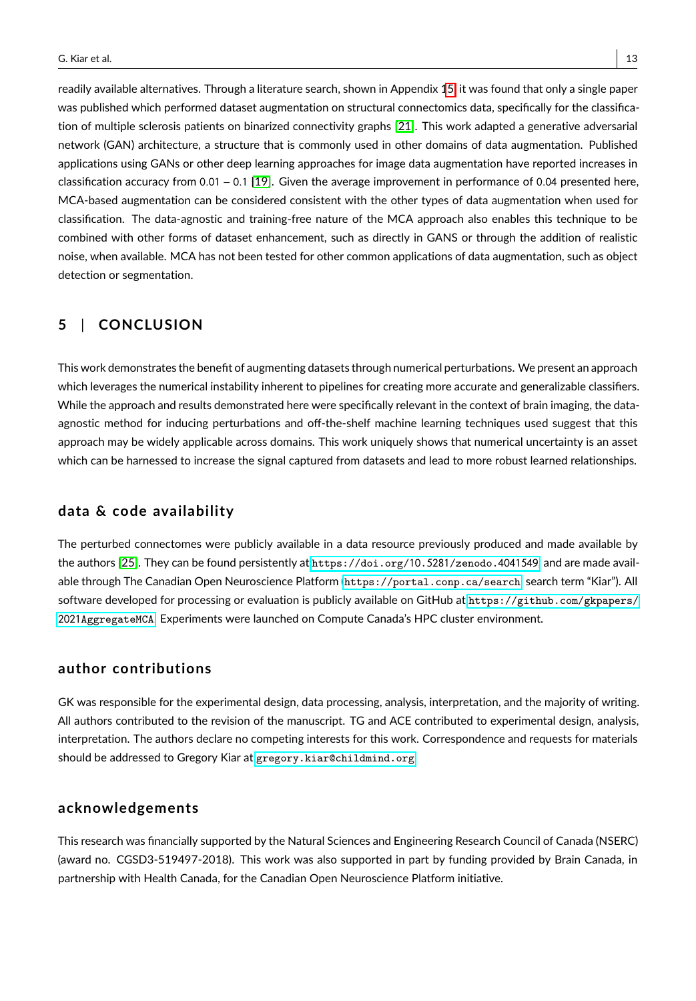readily available alternatives. Through a literature search, shown in Appendix [15,](#page-12-0) it was found that only a single paper was published which performed dataset augmentation on structural connectomics data, specifically for the classification of multiple sclerosis patients on binarized connectivity graphs [\[21\]](#page-14-4). This work adapted a generative adversarial network (GAN) architecture, a structure that is commonly used in other domains of data augmentation. Published applications using GANs or other deep learning approaches for image data augmentation have reported increases in classification accuracy from <sup>0</sup>.<sup>01</sup> <sup>−</sup> <sup>0</sup>.<sup>1</sup> [\[19\]](#page-14-2). Given the average improvement in performance of <sup>0</sup>.<sup>04</sup> presented here, MCA-based augmentation can be considered consistent with the other types of data augmentation when used for classification. The data-agnostic and training-free nature of the MCA approach also enables this technique to be combined with other forms of dataset enhancement, such as directly in GANS or through the addition of realistic noise, when available. MCA has not been tested for other common applications of data augmentation, such as object detection or segmentation.

# <span id="page-12-0"></span>**5** | **CONCLUSION**

This work demonstrates the benefit of augmenting datasets through numerical perturbations. We present an approach which leverages the numerical instability inherent to pipelines for creating more accurate and generalizable classifiers. While the approach and results demonstrated here were specifically relevant in the context of brain imaging, the dataagnostic method for inducing perturbations and off-the-shelf machine learning techniques used suggest that this approach may be widely applicable across domains. This work uniquely shows that numerical uncertainty is an asset which can be harnessed to increase the signal captured from datasets and lead to more robust learned relationships.

# **data & code availability**

The perturbed connectomes were publicly available in a data resource previously produced and made available by the authors [\[25\]](#page-14-8). They can be found persistently at [https://doi.org/](https://doi.org/10.5281/zenodo.4041549)10.5281/zenodo.4041549, and are made available through The Canadian Open Neuroscience Platform (<https://portal.conp.ca/search>, search term "Kiar"). All software developed for processing or evaluation is publicly available on GitHub at [https://github.com/gkpapers/](https://github.com/gkpapers/2021AggregateMCA) 2021[AggregateMCA](https://github.com/gkpapers/2021AggregateMCA). Experiments were launched on Compute Canada's HPC cluster environment.

# **author contributions**

GK was responsible for the experimental design, data processing, analysis, interpretation, and the majority of writing. All authors contributed to the revision of the manuscript. TG and ACE contributed to experimental design, analysis, interpretation. The authors declare no competing interests for this work. Correspondence and requests for materials should be addressed to Gregory Kiar at <gregory.kiar@childmind.org>.

# **acknowledgements**

This research was financially supported by the Natural Sciences and Engineering Research Council of Canada (NSERC) (award no. CGSD3-519497-2018). This work was also supported in part by funding provided by Brain Canada, in partnership with Health Canada, for the Canadian Open Neuroscience Platform initiative.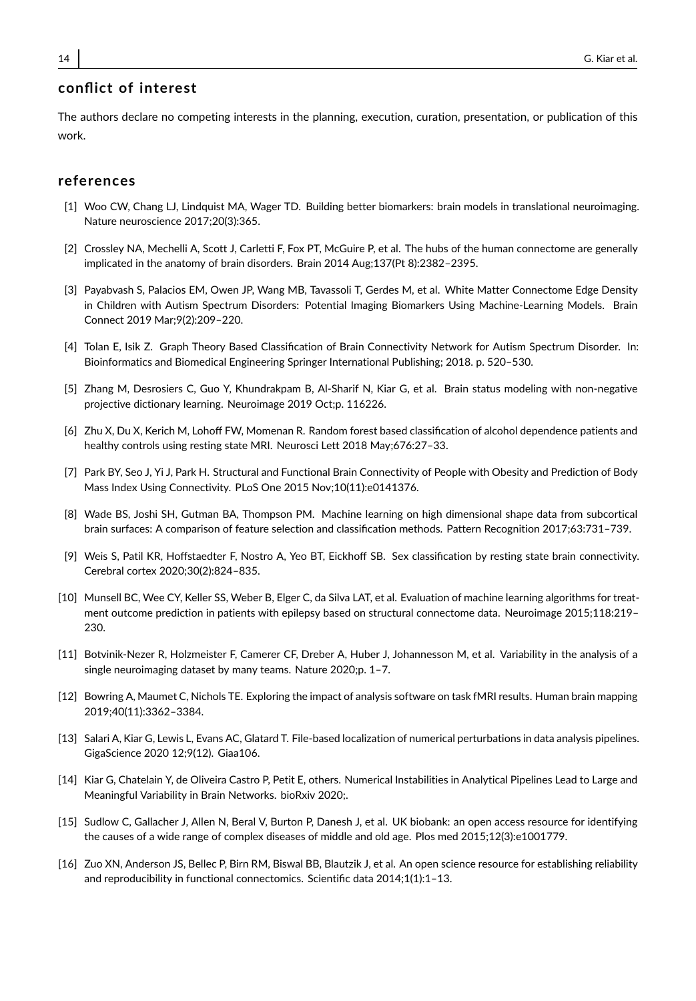# **conflict of interest**

The authors declare no competing interests in the planning, execution, curation, presentation, or publication of this work.

# **references**

- <span id="page-13-0"></span>[1] Woo CW, Chang LJ, Lindquist MA, Wager TD. Building better biomarkers: brain models in translational neuroimaging. Nature neuroscience 2017;20(3):365.
- <span id="page-13-1"></span>[2] Crossley NA, Mechelli A, Scott J, Carletti F, Fox PT, McGuire P, et al. The hubs of the human connectome are generally implicated in the anatomy of brain disorders. Brain 2014 Aug;137(Pt 8):2382–2395.
- <span id="page-13-2"></span>[3] Payabvash S, Palacios EM, Owen JP, Wang MB, Tavassoli T, Gerdes M, et al. White Matter Connectome Edge Density in Children with Autism Spectrum Disorders: Potential Imaging Biomarkers Using Machine-Learning Models. Brain Connect 2019 Mar;9(2):209–220.
- <span id="page-13-3"></span>[4] Tolan E, Isik Z. Graph Theory Based Classification of Brain Connectivity Network for Autism Spectrum Disorder. In: Bioinformatics and Biomedical Engineering Springer International Publishing; 2018. p. 520–530.
- <span id="page-13-4"></span>[5] Zhang M, Desrosiers C, Guo Y, Khundrakpam B, Al-Sharif N, Kiar G, et al. Brain status modeling with non-negative projective dictionary learning. Neuroimage 2019 Oct;p. 116226.
- <span id="page-13-5"></span>[6] Zhu X, Du X, Kerich M, Lohoff FW, Momenan R. Random forest based classification of alcohol dependence patients and healthy controls using resting state MRI. Neurosci Lett 2018 May;676:27–33.
- <span id="page-13-6"></span>[7] Park BY, Seo J, Yi J, Park H. Structural and Functional Brain Connectivity of People with Obesity and Prediction of Body Mass Index Using Connectivity. PLoS One 2015 Nov;10(11):e0141376.
- <span id="page-13-7"></span>[8] Wade BS, Joshi SH, Gutman BA, Thompson PM. Machine learning on high dimensional shape data from subcortical brain surfaces: A comparison of feature selection and classification methods. Pattern Recognition 2017;63:731–739.
- <span id="page-13-8"></span>[9] Weis S, Patil KR, Hoffstaedter F, Nostro A, Yeo BT, Eickhoff SB. Sex classification by resting state brain connectivity. Cerebral cortex 2020;30(2):824–835.
- <span id="page-13-9"></span>[10] Munsell BC, Wee CY, Keller SS, Weber B, Elger C, da Silva LAT, et al. Evaluation of machine learning algorithms for treatment outcome prediction in patients with epilepsy based on structural connectome data. Neuroimage 2015;118:219– 230.
- <span id="page-13-10"></span>[11] Botvinik-Nezer R, Holzmeister F, Camerer CF, Dreber A, Huber J, Johannesson M, et al. Variability in the analysis of a single neuroimaging dataset by many teams. Nature 2020;p. 1–7.
- <span id="page-13-11"></span>[12] Bowring A, Maumet C, Nichols TE. Exploring the impact of analysis software on task fMRI results. Human brain mapping 2019;40(11):3362–3384.
- <span id="page-13-12"></span>[13] Salari A, Kiar G, Lewis L, Evans AC, Glatard T. File-based localization of numerical perturbations in data analysis pipelines. GigaScience 2020 12;9(12). Giaa106.
- <span id="page-13-13"></span>[14] Kiar G, Chatelain Y, de Oliveira Castro P, Petit E, others. Numerical Instabilities in Analytical Pipelines Lead to Large and Meaningful Variability in Brain Networks. bioRxiv 2020;.
- <span id="page-13-14"></span>[15] Sudlow C, Gallacher J, Allen N, Beral V, Burton P, Danesh J, et al. UK biobank: an open access resource for identifying the causes of a wide range of complex diseases of middle and old age. Plos med 2015;12(3):e1001779.
- <span id="page-13-15"></span>[16] Zuo XN, Anderson JS, Bellec P, Birn RM, Biswal BB, Blautzik J, et al. An open science resource for establishing reliability and reproducibility in functional connectomics. Scientific data 2014;1(1):1–13.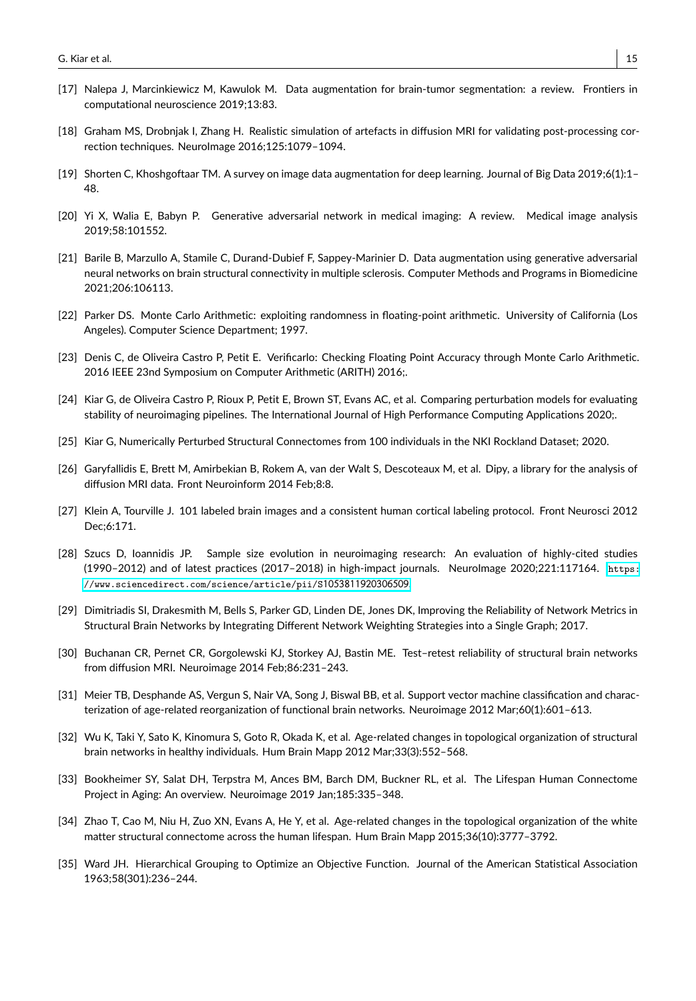- <span id="page-14-0"></span>[17] Nalepa J, Marcinkiewicz M, Kawulok M. Data augmentation for brain-tumor segmentation: a review. Frontiers in computational neuroscience 2019;13:83.
- <span id="page-14-1"></span>[18] Graham MS, Drobnjak I, Zhang H. Realistic simulation of artefacts in diffusion MRI for validating post-processing correction techniques. NeuroImage 2016;125:1079–1094.
- <span id="page-14-2"></span>[19] Shorten C, Khoshgoftaar TM. A survey on image data augmentation for deep learning. Journal of Big Data 2019;6(1):1– 48.
- <span id="page-14-3"></span>[20] Yi X, Walia E, Babyn P. Generative adversarial network in medical imaging: A review. Medical image analysis 2019;58:101552.
- <span id="page-14-4"></span>[21] Barile B, Marzullo A, Stamile C, Durand-Dubief F, Sappey-Marinier D. Data augmentation using generative adversarial neural networks on brain structural connectivity in multiple sclerosis. Computer Methods and Programs in Biomedicine 2021;206:106113.
- <span id="page-14-5"></span>[22] Parker DS. Monte Carlo Arithmetic: exploiting randomness in floating-point arithmetic. University of California (Los Angeles). Computer Science Department; 1997.
- <span id="page-14-6"></span>[23] Denis C, de Oliveira Castro P, Petit E. Verificarlo: Checking Floating Point Accuracy through Monte Carlo Arithmetic. 2016 IEEE 23nd Symposium on Computer Arithmetic (ARITH) 2016;.
- <span id="page-14-7"></span>[24] Kiar G, de Oliveira Castro P, Rioux P, Petit E, Brown ST, Evans AC, et al. Comparing perturbation models for evaluating stability of neuroimaging pipelines. The International Journal of High Performance Computing Applications 2020;.
- <span id="page-14-8"></span>[25] Kiar G, Numerically Perturbed Structural Connectomes from 100 individuals in the NKI Rockland Dataset; 2020.
- <span id="page-14-9"></span>[26] Garyfallidis E, Brett M, Amirbekian B, Rokem A, van der Walt S, Descoteaux M, et al. Dipy, a library for the analysis of diffusion MRI data. Front Neuroinform 2014 Feb;8:8.
- <span id="page-14-10"></span>[27] Klein A, Tourville J. 101 labeled brain images and a consistent human cortical labeling protocol. Front Neurosci 2012 Dec;6:171.
- <span id="page-14-11"></span>[28] Szucs D, Ioannidis JP. Sample size evolution in neuroimaging research: An evaluation of highly-cited studies (1990–2012) and of latest practices (2017–2018) in high-impact journals. NeuroImage 2020;221:117164. [https:](https://www.sciencedirect.com/science/article/pii/S1053811920306509) [//www.sciencedirect.com/science/article/pii/S](https://www.sciencedirect.com/science/article/pii/S1053811920306509)1053811920306509.
- <span id="page-14-12"></span>[29] Dimitriadis SI, Drakesmith M, Bells S, Parker GD, Linden DE, Jones DK, Improving the Reliability of Network Metrics in Structural Brain Networks by Integrating Different Network Weighting Strategies into a Single Graph; 2017.
- <span id="page-14-13"></span>[30] Buchanan CR, Pernet CR, Gorgolewski KJ, Storkey AJ, Bastin ME. Test–retest reliability of structural brain networks from diffusion MRI. Neuroimage 2014 Feb;86:231–243.
- <span id="page-14-14"></span>[31] Meier TB, Desphande AS, Vergun S, Nair VA, Song J, Biswal BB, et al. Support vector machine classification and characterization of age-related reorganization of functional brain networks. Neuroimage 2012 Mar;60(1):601-613.
- <span id="page-14-15"></span>[32] Wu K, Taki Y, Sato K, Kinomura S, Goto R, Okada K, et al. Age-related changes in topological organization of structural brain networks in healthy individuals. Hum Brain Mapp 2012 Mar;33(3):552–568.
- <span id="page-14-16"></span>[33] Bookheimer SY, Salat DH, Terpstra M, Ances BM, Barch DM, Buckner RL, et al. The Lifespan Human Connectome Project in Aging: An overview. Neuroimage 2019 Jan;185:335–348.
- <span id="page-14-17"></span>[34] Zhao T, Cao M, Niu H, Zuo XN, Evans A, He Y, et al. Age-related changes in the topological organization of the white matter structural connectome across the human lifespan. Hum Brain Mapp 2015;36(10):3777–3792.
- <span id="page-14-18"></span>[35] Ward JH. Hierarchical Grouping to Optimize an Objective Function. Journal of the American Statistical Association 1963;58(301):236–244.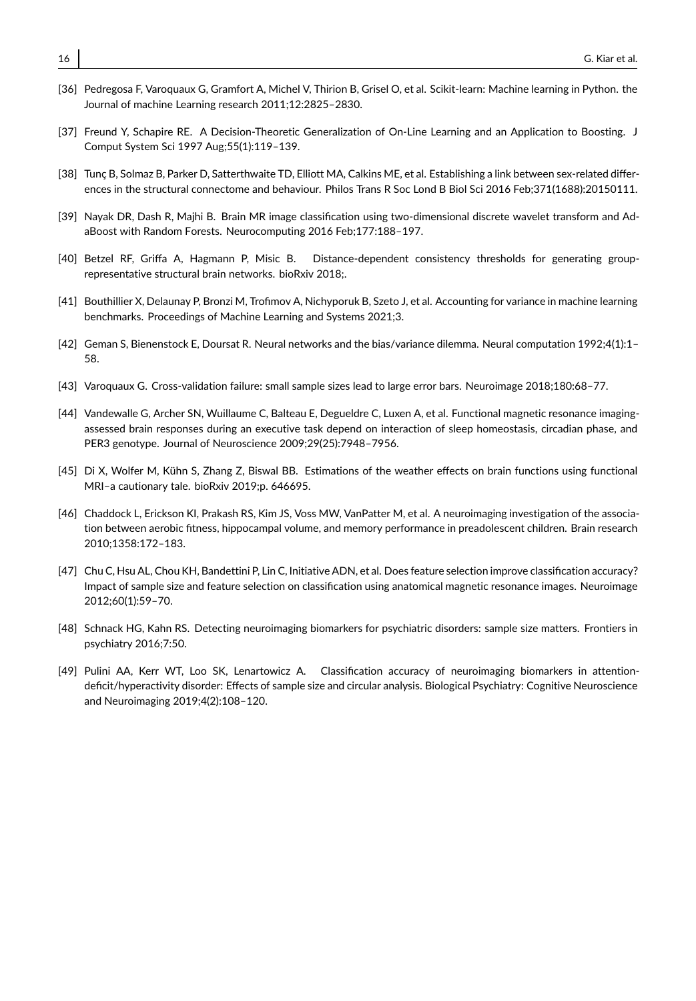- <span id="page-15-0"></span>[36] Pedregosa F, Varoquaux G, Gramfort A, Michel V, Thirion B, Grisel O, et al. Scikit-learn: Machine learning in Python. the Journal of machine Learning research 2011;12:2825–2830.
- <span id="page-15-1"></span>[37] Freund Y, Schapire RE. A Decision-Theoretic Generalization of On-Line Learning and an Application to Boosting. J Comput System Sci 1997 Aug;55(1):119–139.
- <span id="page-15-2"></span>[38] Tunç B, Solmaz B, Parker D, Satterthwaite TD, Elliott MA, Calkins ME, et al. Establishing a link between sex-related differences in the structural connectome and behaviour. Philos Trans R Soc Lond B Biol Sci 2016 Feb;371(1688):20150111.
- <span id="page-15-3"></span>[39] Nayak DR, Dash R, Majhi B. Brain MR image classification using two-dimensional discrete wavelet transform and AdaBoost with Random Forests. Neurocomputing 2016 Feb;177:188–197.
- <span id="page-15-4"></span>[40] Betzel RF, Griffa A, Hagmann P, Misic B. Distance-dependent consistency thresholds for generating grouprepresentative structural brain networks. bioRxiv 2018;.
- <span id="page-15-5"></span>[41] Bouthillier X, Delaunay P, Bronzi M, Trofimov A, Nichyporuk B, Szeto J, et al. Accounting for variance in machine learning benchmarks. Proceedings of Machine Learning and Systems 2021;3.
- <span id="page-15-6"></span>[42] Geman S, Bienenstock E, Doursat R. Neural networks and the bias/variance dilemma. Neural computation 1992;4(1):1– 58.
- <span id="page-15-7"></span>[43] Varoquaux G. Cross-validation failure: small sample sizes lead to large error bars. Neuroimage 2018;180:68–77.
- <span id="page-15-8"></span>[44] Vandewalle G, Archer SN, Wuillaume C, Balteau E, Degueldre C, Luxen A, et al. Functional magnetic resonance imagingassessed brain responses during an executive task depend on interaction of sleep homeostasis, circadian phase, and PER3 genotype. Journal of Neuroscience 2009;29(25):7948–7956.
- <span id="page-15-9"></span>[45] Di X, Wolfer M, Kühn S, Zhang Z, Biswal BB. Estimations of the weather effects on brain functions using functional MRI–a cautionary tale. bioRxiv 2019;p. 646695.
- <span id="page-15-10"></span>[46] Chaddock L, Erickson KI, Prakash RS, Kim JS, Voss MW, VanPatter M, et al. A neuroimaging investigation of the association between aerobic fitness, hippocampal volume, and memory performance in preadolescent children. Brain research 2010;1358:172–183.
- <span id="page-15-11"></span>[47] Chu C, Hsu AL, Chou KH, Bandettini P, Lin C, Initiative ADN, et al. Does feature selection improve classification accuracy? Impact of sample size and feature selection on classification using anatomical magnetic resonance images. Neuroimage 2012;60(1):59–70.
- <span id="page-15-12"></span>[48] Schnack HG, Kahn RS. Detecting neuroimaging biomarkers for psychiatric disorders: sample size matters. Frontiers in psychiatry 2016;7:50.
- <span id="page-15-13"></span>[49] Pulini AA, Kerr WT, Loo SK, Lenartowicz A. Classification accuracy of neuroimaging biomarkers in attentiondeficit/hyperactivity disorder: Effects of sample size and circular analysis. Biological Psychiatry: Cognitive Neuroscience and Neuroimaging 2019;4(2):108–120.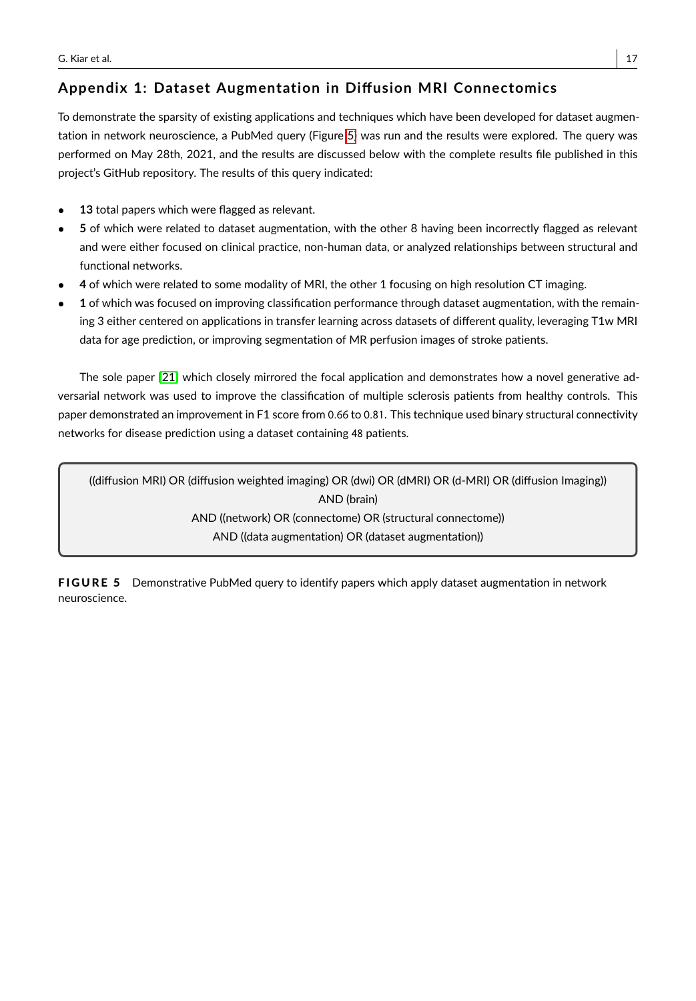# **Appendix 1: Dataset Augmentation in Diffusion MRI Connectomics**

To demonstrate the sparsity of existing applications and techniques which have been developed for dataset augmentation in network neuroscience, a PubMed query (Figure [5\)](#page-16-0) was run and the results were explored. The query was performed on May 28th, 2021, and the results are discussed below with the complete results file published in this project's GitHub repository. The results of this query indicated:

- 13 total papers which were flagged as relevant.
- **5** of which were related to dataset augmentation, with the other 8 having been incorrectly flagged as relevant and were either focused on clinical practice, non-human data, or analyzed relationships between structural and functional networks.
- **4** of which were related to some modality of MRI, the other 1 focusing on high resolution CT imaging.
- **1** of which was focused on improving classification performance through dataset augmentation, with the remaining 3 either centered on applications in transfer learning across datasets of different quality, leveraging T1w MRI data for age prediction, or improving segmentation of MR perfusion images of stroke patients.

The sole paper [\[21\]](#page-14-4) which closely mirrored the focal application and demonstrates how a novel generative adversarial network was used to improve the classification of multiple sclerosis patients from healthy controls. This paper demonstrated an improvement in F1 score from <sup>0</sup>.<sup>66</sup> to <sup>0</sup>.81. This technique used binary structural connectivity networks for disease prediction using a dataset containing 48 patients.

<span id="page-16-0"></span>((diffusion MRI) OR (diffusion weighted imaging) OR (dwi) OR (dMRI) OR (d-MRI) OR (diffusion Imaging)) AND (brain) AND ((network) OR (connectome) OR (structural connectome)) AND ((data augmentation) OR (dataset augmentation))

FIGURE 5 Demonstrative PubMed query to identify papers which apply dataset augmentation in network neuroscience.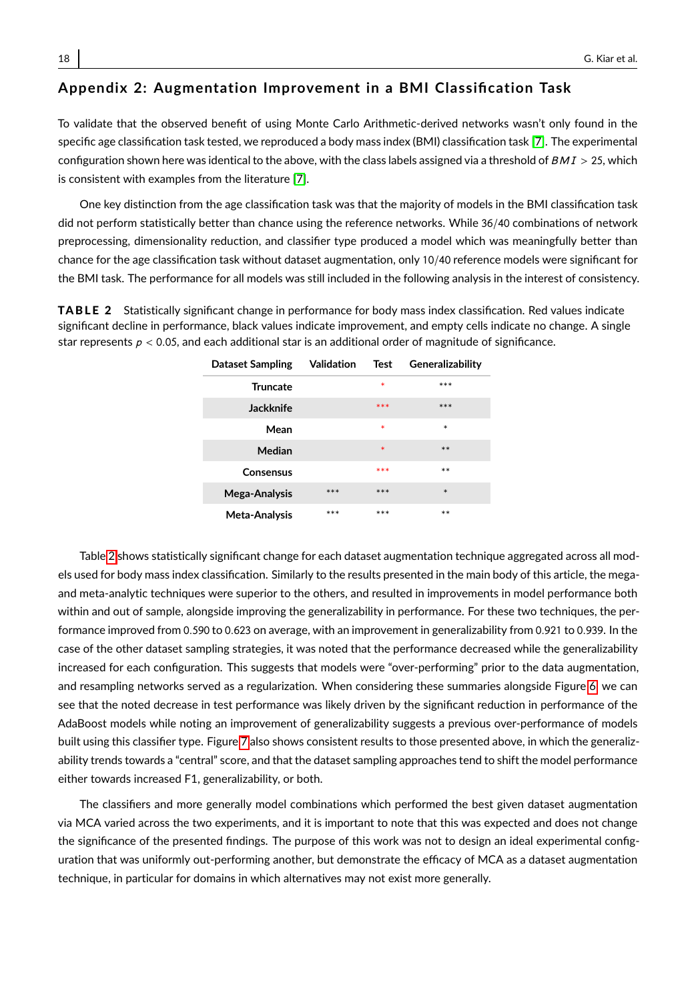# **Appendix 2: Augmentation Improvement in a BMI Classification Task**

To validate that the observed benefit of using Monte Carlo Arithmetic-derived networks wasn't only found in the specific age classification task tested, we reproduced a body mass index (BMI) classification task [\[7\]](#page-13-6). The experimental configuration shown here was identical to the above, with the class labels assigned via a threshold of  $BMI > 25$ , which is consistent with examples from the literature [\[7\]](#page-13-6).

One key distinction from the age classification task was that the majority of models in the BMI classification task did not perform statistically better than chance using the reference networks. While 36/40 combinations of network preprocessing, dimensionality reduction, and classifier type produced a model which was meaningfully better than chance for the age classification task without dataset augmentation, only 10/40 reference models were significant for the BMI task. The performance for all models was still included in the following analysis in the interest of consistency.

<span id="page-17-0"></span>TABLE 2 Statistically significant change in performance for body mass index classification. Red values indicate significant decline in performance, black values indicate improvement, and empty cells indicate no change. A single star represents  $p < 0.05$ , and each additional star is an additional order of magnitude of significance.

| <b>Dataset Sampling</b> | Validation | Test   | Generalizability |
|-------------------------|------------|--------|------------------|
| <b>Truncate</b>         |            | $\ast$ | $***$            |
| Jackknife               |            | ***    | ***              |
| Mean                    |            | $\ast$ | $\ast$           |
| Median                  |            | $\ast$ | $***$            |
| Consensus               |            | ***    | $**$             |
| Mega-Analysis           | ***        | ***    | $\ast$           |
| Meta-Analysis           | ***        | ***    | $**$             |

Table [2](#page-17-0) shows statistically significant change for each dataset augmentation technique aggregated across all models used for body mass index classification. Similarly to the results presented in the main body of this article, the megaand meta-analytic techniques were superior to the others, and resulted in improvements in model performance both within and out of sample, alongside improving the generalizability in performance. For these two techniques, the performance improved from <sup>0</sup>.<sup>590</sup> to <sup>0</sup>.<sup>623</sup> on average, with an improvement in generalizability from <sup>0</sup>.<sup>921</sup> to <sup>0</sup>.939. In the case of the other dataset sampling strategies, it was noted that the performance decreased while the generalizability increased for each configuration. This suggests that models were "over-performing" prior to the data augmentation, and resampling networks served as a regularization. When considering these summaries alongside Figure [6,](#page-18-0) we can see that the noted decrease in test performance was likely driven by the significant reduction in performance of the AdaBoost models while noting an improvement of generalizability suggests a previous over-performance of models built using this classifier type. Figure [7](#page-18-1) also shows consistent results to those presented above, in which the generalizability trends towards a "central" score, and that the dataset sampling approaches tend to shift the model performance either towards increased F1, generalizability, or both.

The classifiers and more generally model combinations which performed the best given dataset augmentation via MCA varied across the two experiments, and it is important to note that this was expected and does not change the significance of the presented findings. The purpose of this work was not to design an ideal experimental configuration that was uniformly out-performing another, but demonstrate the efficacy of MCA as a dataset augmentation technique, in particular for domains in which alternatives may not exist more generally.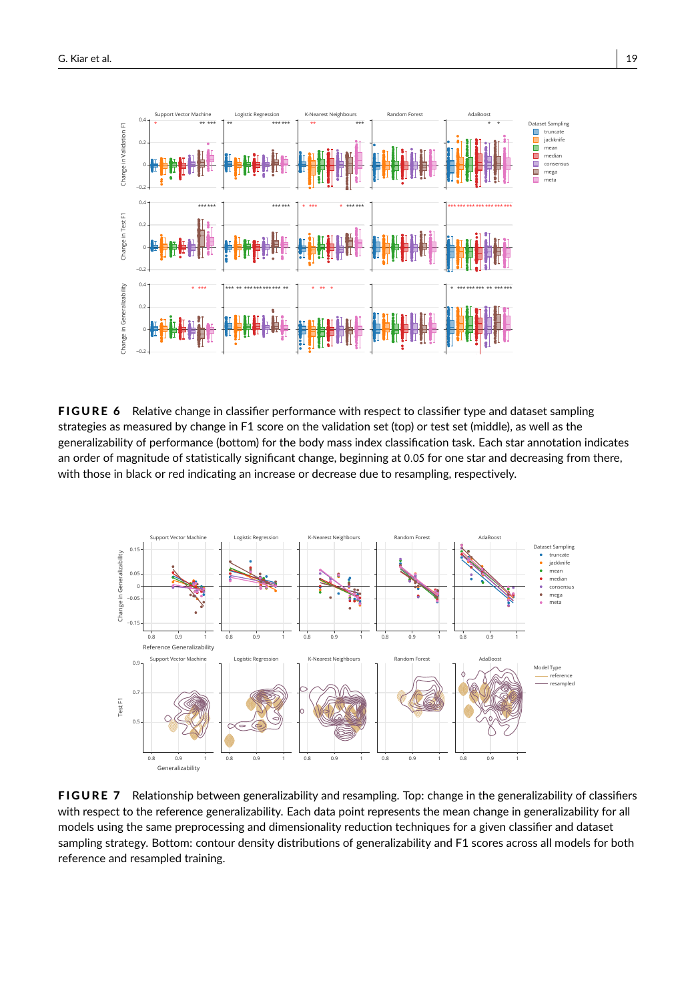<span id="page-18-0"></span>

FIGURE 6 Relative change in classifier performance with respect to classifier type and dataset sampling strategies as measured by change in F1 score on the validation set (top) or test set (middle), as well as the generalizability of performance (bottom) for the body mass index classification task. Each star annotation indicates an order of magnitude of statistically significant change, beginning at <sup>0</sup>.<sup>05</sup> for one star and decreasing from there, with those in black or red indicating an increase or decrease due to resampling, respectively.

<span id="page-18-1"></span>

FIGURE 7 Relationship between generalizability and resampling. Top: change in the generalizability of classifiers with respect to the reference generalizability. Each data point represents the mean change in generalizability for all models using the same preprocessing and dimensionality reduction techniques for a given classifier and dataset sampling strategy. Bottom: contour density distributions of generalizability and F1 scores across all models for both reference and resampled training.